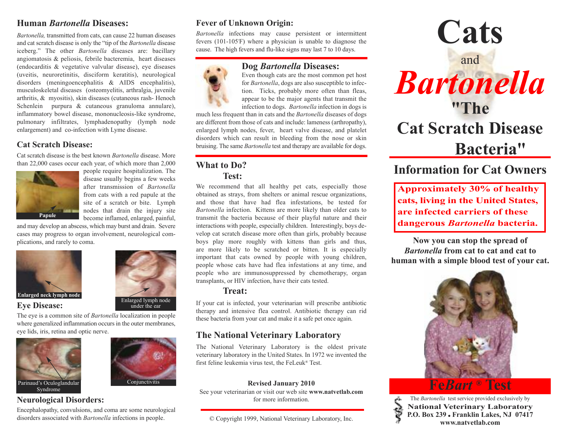### **Human** *Bartonella* **Diseases:**

*Bartonella,* transmitted from cats, can cause 22 human diseases and cat scratch disease is only the "tip of the *Bartonella* disease iceberg." The other *Bartonella* diseases are: bacillary angiomatosis & peliosis, febrile bacteremia, heart diseases (endocarditis & vegetative valvular disease), eye diseases (uveitis, neuroretinitis, disciform keratitis), neurological disorders (meningoencephalitis & AIDS encephalitis), musculoskeletal diseases (osteomyelitis, arthralgia, juvenile arthritis, & myositis), skin diseases (cutaneous rash- Henoch Schenlein purpura & cutaneous granuloma annulare), inflammatory bowel disease, mononucleosis-like syndrome, pulmonary infiltrates, lymphadenopathy (lymph node enlargement) and co-infection with Lyme disease.

#### **Cat Scratch Disease:**

Cat scratch disease is the best known *Bartonella* disease. More than 22,000 cases occur each year, of which more than 2,000



people require hospitalization. The disease usually begins a few weeks after transmission of *Bartonella* from cats with a red papule at the site of a scratch or bite. Lymph nodes that drain the injury site become inflamed, enlarged, painful,

and may develop an abscess, which may burst and drain. Severe cases may progress to organ involvement, neurological complications, and rarely to coma.



**Eye Disease:**



The eye is a common site of *Bartonella* localization in people where generalized inflammation occurs in the outer membranes. eye lids, iris, retina and optic nerve.



### **Neurological Disorders:**

Encephalopathy, convulsions, and coma are some neurological disorders associated with *Bartonella* infections in people.

# **Fever of Unknown Origin:**

*Bartonella* infections may cause persistent or intermittent fevers (101-105°F) where a physician is unable to diagnose the cause. The high fevers and flu-like signs may last 7 to 10 days.



## **Dog** *Bartonella* **Diseases:**

Even though cats are the most common pet host for *Bartonella*, dogs are also susceptible to infection. Ticks, probably more often than fleas, appear to be the major agents that transmit the infection to dogs. *Bartonella* infection in dogs is

much less frequent than in cats and the *Bartonella* diseases of dogs are different from those of cats and include: lameness (arthropathy), enlarged lymph nodes, fever, heart valve disease, and platelet disorders which can result in bleeding from the nose or skin bruising. The same *Bartonella* test and therapy are available for dogs.

### **What to Do? Test:**

We recommend that all healthy pet cats, especially those obtained as strays, from shelters or animal rescue organizations, and those that have had flea infestations, be tested for *Bartonella* infection. Kittens are more likely than older cats to transmit the bacteria because of their playful nature and their interactions with people, especially children. Interestingly, boys develop cat scratch disease more often than girls, probably because boys play more roughly with kittens than girls and thus, are more likely to be scratched or bitten. It is especially important that cats owned by people with young children, people whose cats have had flea infestations at any time, and people who are immunosuppressed by chemotherapy, organ transplants, or HIV infection, have their cats tested.

#### **Treat:**

If your cat is infected, your veterinarian will prescribe antibiotic therapy and intensive flea control. Antibiotic therapy can rid these bacteria from your cat and make it a safe pet once again.

# **The National Veterinary Laboratory**

The National Veterinary Laboratory is the oldest private veterinary laboratory in the United States. In 1972 we invented the first feline leukemia virus test, the FeLeuk® Test.

#### **Revised January 2010**

See your veterinarian or visit our web site **www.natvetlab.com** for more information.

© Copyright 1999, National Veterinary Laboratory, Inc.



# **Information for Cat Owners**

**Approximately 30% of healthy cats, living in the United States, are infected carriers of these dangerous** *Bartonella* **bacteria.**

**Now you can stop the spread of** *Bartonella* **from cat to cat and cat to human with a simple blood test of your cat.**



# **Fe***Bart* **® Test**

The *Bartonella* test service provided exclusively by **National Veterinary Laboratory P.O. Box 239** ● **Franklin Lakes, NJ 07417 www.natvetlab.com**